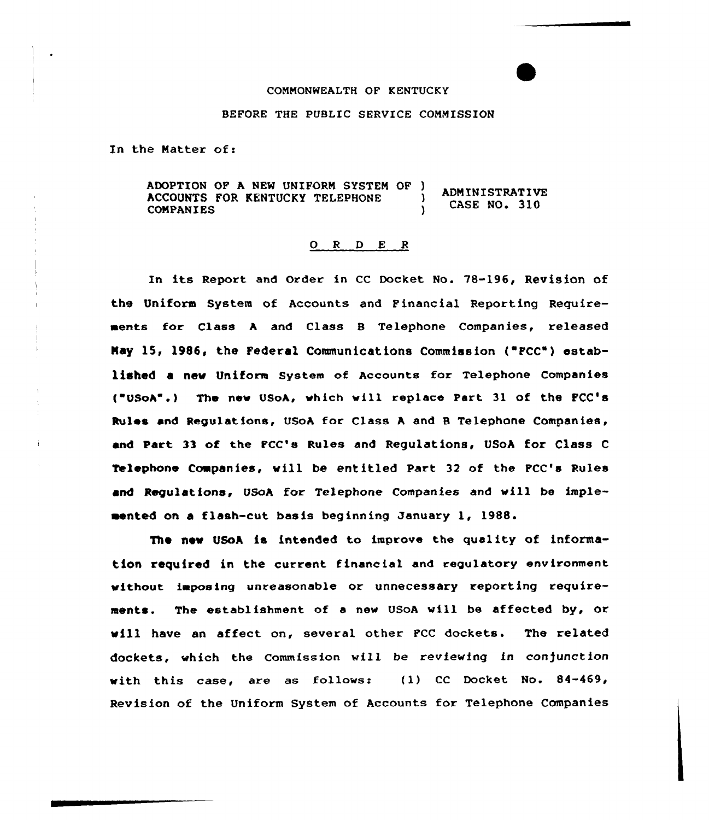#### COMMONWEALTH OF KENTUCKY

### BEFORE THE PUBLIC SERVICE COMMISSION

In the Natter of:

ADOPTION OF A NEW UNIFORM SYSTEM OF )<br>ACCOUNTS FOR KENTUCKY TELEPHONE **ADMINISTRATIVE** ACCOUNTS FOR KENTUCKY TELEPHONE ) CASE NO. 310

# 0 <sup>R</sup> <sup>D</sup> E <sup>R</sup>

In its Report and Order in CC Docket No. 78-196, Revision of the Uniform System of Accounts and Financial Reporting Requirements for Class <sup>A</sup> and Class B Telephone Companies, released Nay 15, 1986, the Federal Communications Commission ('FCC') established a new Uniform System of Accounts for Telephone Companies ("USoA".) The new USoA, which will replace Part 31 of the FCC's Rules and Regulations, USoA for Class <sup>A</sup> and <sup>B</sup> Telephone Companies, and Part 33 of the FCC's Rules and Regulations, USoA for Class <sup>C</sup> Telephone Companies, wi11 be entitled Part 32 of the FCC's Rules and Regulations, USoA for Telephone Companies and will be impleaented on a flash-cut basis beginning January 1, 1988.

The new USoA is intended to improve the quality of information required in the current financial and regulatory environment without imposing unreasonable or unnecessary reporting requirements. The establishment of a new USoA will be affected by, or vill have an affect on, several other FCC dockets. The related dockets, which the Commission will be reviewing in conjunction with this case, are as follows: (1) CC Docket No. 84-469, Revision of the Uniform System of Accounts for Telephone Companies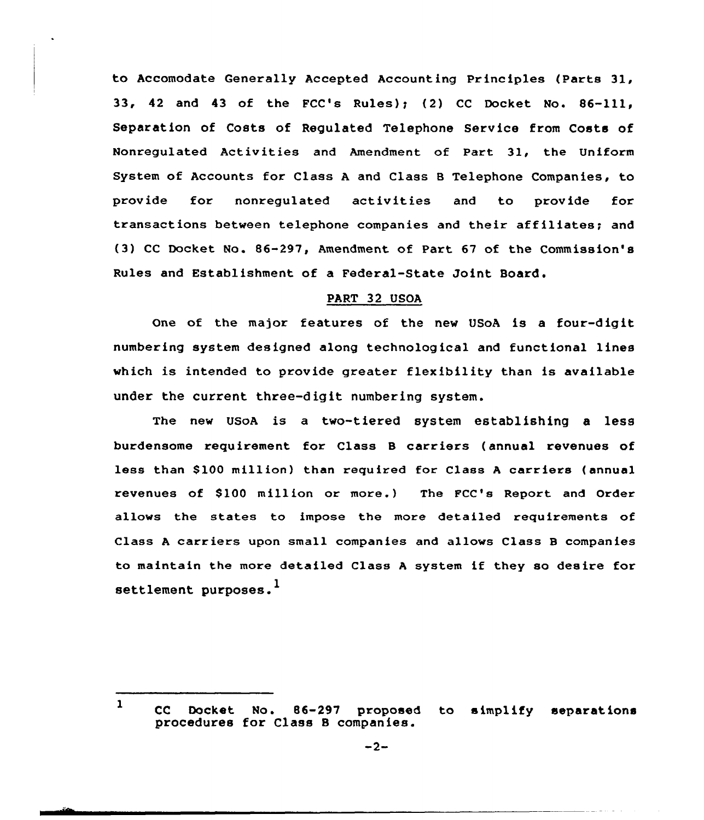to Accomodate Generally Accepted Accounting Principles (Parts 31, 33, 42 and 43 of the FCC's Rules); (2) CC Docket No.  $86-111$ . Separation of Costs of Regulated Telephone Service from Costs of Nonregulated Activities and Amendment of Part 31, the Uniform System of Accounts for Class <sup>A</sup> and Class <sup>B</sup> Telephone Companies, to provide for nonregulated activities and to provide for transactions between telephone companies and their affiliates; and (3) CC Docket No. 86-297, Amendment of Part 67 of the Commission's Rules and Establishment of a Federal-State Joint Board.

# PART 32 USOA

One of the major features of the new USoA is a four-digit numbering system designed along technological and functional lines which is intended to provide greatex flexibility than is available undex the curxent three-digit numbering system.

The new UsoA is a two-tiered system establishing a less burdensome requirement for Class <sup>B</sup> carriers (annual revenues of less than \$100 million) than required for Class A carriers (annual xevenues of S100 million or more.) The FCC's Report and Order allows the states to impose the more detailed requirements of Class <sup>A</sup> carriers upon small companies and allows Class <sup>B</sup> companies to maintain the more detailed Class <sup>A</sup> system if they so desire for settlement purposes.<sup>1</sup>

<sup>1</sup> CC Docket No. 86-297 proposed to simplify separations procedures for Class <sup>B</sup> companies.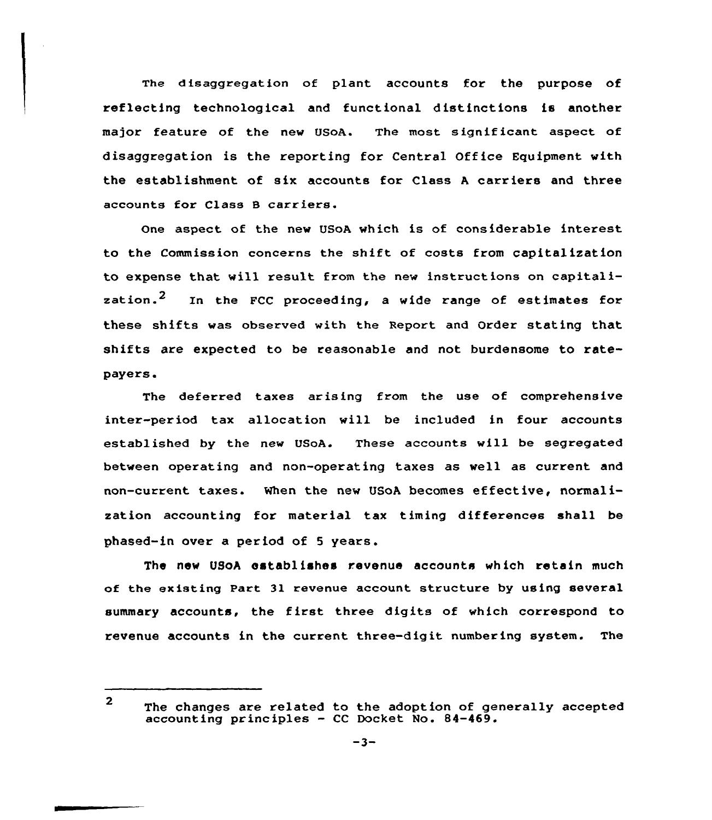The disaggregation of plant accounts for the purpose of reflecting technclogical and functional distinctions is another major feature of the new USOA. The most significant aspect of disaggregation is the reporting for Central Office Equipment with the establishment of six accounts for Class <sup>A</sup> carriers and three accounts for Class 8 carriers.

One aspect of the nev USoA vhich is of considerable interest to the Commission concerns the shift of costs from capitalization to expense that will result from the nev instructions on capitalization.<sup>2</sup> In the FCC proceeding, a wide range of estimates for these shifts vas observed with the Report and Order stating that shifts are expected to be reasonable and not burdensome to ratepayers.

The deferred taxes arising from the use of comprehensive inter-period tax allocation vill be included in four accounts established by the new USoA. These accounts will be segregated betveen operating and non-operating taxes as well as current and non-current taxes. When the new USoA becomes effective, normalization accounting for material tax timing differences shall be phased-in over a period of <sup>5</sup> years.

The new USoA establishes revenue accounts which retain much of the existing Part 31 revenue account structure by using several summary accounts, the first three digits of which correspond to revenue accounts in the current three-digit numbering system. The

<sup>2</sup> The changes are related to the adoption of generally accepted accounting principles — CC Docket No. 84-469.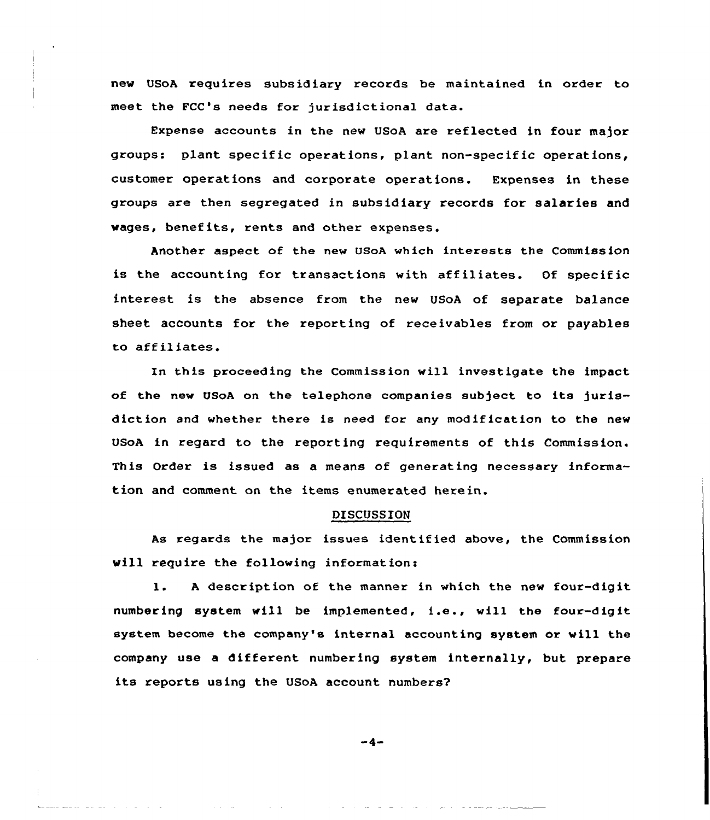new USoA requires subsidiary records be maintained in order to meet the FCC's needs for jurisdictional data.

Expense accounts in the new USoA are reflected in four major groups: plant specific operations, plant non-specific operations, customer operations and corporate operations. Expenses in these groups are then segregated in subsidiary records for salaries and vages, benefits, rents and other expenses.

Another aspect of the new USoA which interests the Commission is the accounting for transactions with affiliates. Of specific interest is the absence from the new USoA of separate balance sheet accounts for the reporting of receivables from or payables to affiliates.

In this proceeding the Commission vill investigate the impact of the new USoA on the telephone companies subject to its jurisdiction and whether there is need for any modification to the new USoA in regard to the reporting requirements of this Commission. This Order is issued as a means of generating necessary information and comment on the items enumerated herein.

# DISCUSSION

As regards the major issues identified above, the Commission will require the following information:

l. <sup>A</sup> description of the manner in which the new four-digit numbering system vill be implemented, i.e., will the four-digit system become the company's internal accounting system or will the company use a different numbering system internally, but prepare its reports using the USoA account numbers?

-4-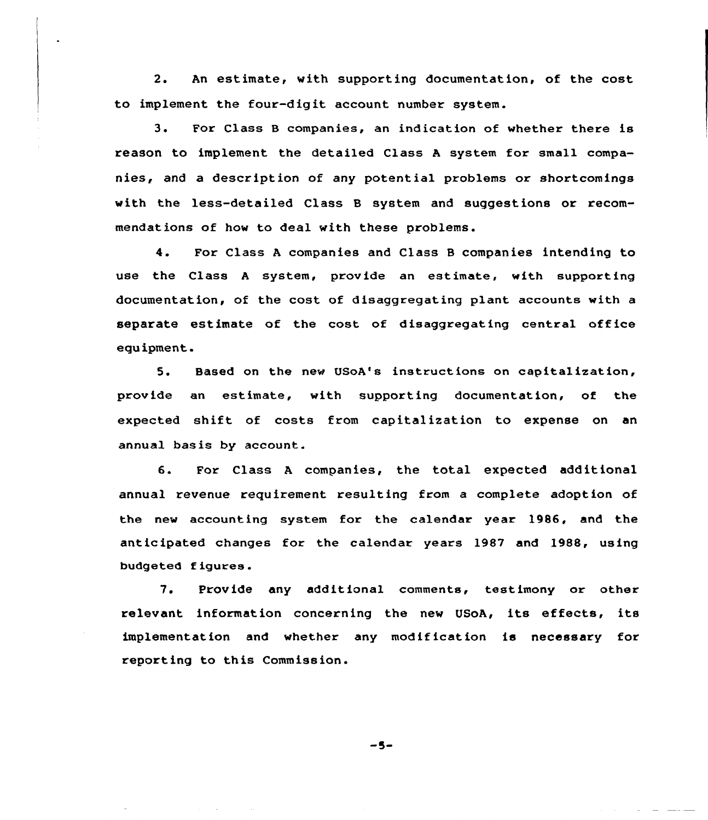2. An estimate, with supporting documentation, of the cost to implement the four-digit account number system.

3. For Class B companies, an indication of whether there is reason to implement the detailed Class <sup>A</sup> system for small companies, and a description of any potential problems or shortcomings with the less-detailed Class B system and suggestions or recommendations of how to deal with these problems.

4. For Class <sup>A</sup> companies and Class <sup>B</sup> companies intending to use the Class <sup>A</sup> system, provide an estimate, with supporting documentation, of the cost of disaggregating plant accounts with a separate estimate of the cost of disaggregating central office equipment.

5. Based on the new USoA's instructions on capitalization, prov ide an estimate, with supporting documentation< of the expected shift of costs from capitalization to expense on an annual basis by account.

6. For Class <sup>A</sup> companies, the total expected additional annual revenue requirement resulting from a complete adoption of the new accounting system for the calendar year 1986, and the anticipated changes for the calendar years 1987 and 1988, using budgeted f igures.

7. Provide any additional comments, testimony or other relevant information concerning the new USoA, its effects, its implementation and whether any modif ication is necessary for reporting to this Commission.

 $-5-$